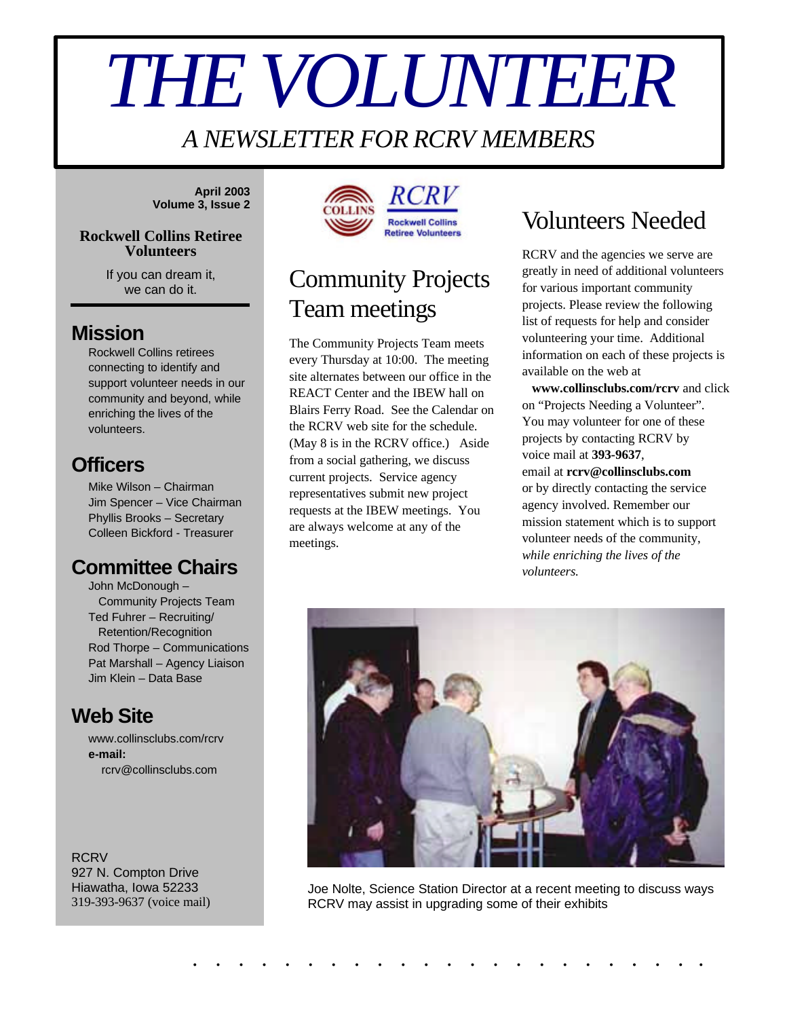# *THE VOLUNTEER*

#### *A NEWSLETTER FOR RCRV MEMBERS*

**April 2003 Volume 3, Issue 2**

#### **Rockwell Collins Retiree Volunteers**

If you can dream it, we can do it.

#### **Mission**

Rockwell Collins retirees connecting to identify and support volunteer needs in our community and beyond, while enriching the lives of the volunteers.

#### **Officers**

Mike Wilson – Chairman Jim Spencer – Vice Chairman Phyllis Brooks – Secretary Colleen Bickford - Treasurer

#### **Committee Chairs**

John McDonough – Community Projects Team Ted Fuhrer – Recruiting/ Retention/Recognition Rod Thorpe – Communications Pat Marshall – Agency Liaison Jim Klein – Data Base

#### **Web Site**

www.collinsclubs.com/rcrv **e-mail:** rcrv@collinsclubs.com

**RCRV** 927 N. Compton Drive Hiawatha, Iowa 52233 319-393-9637 (voice mail)



# Community Projects Team meetings

The Community Projects Team meets every Thursday at 10:00. The meeting site alternates between our office in the REACT Center and the IBEW hall on Blairs Ferry Road. See the Calendar on the RCRV web site for the schedule. (May 8 is in the RCRV office.) Aside from a social gathering, we discuss current projects. Service agency representatives submit new project requests at the IBEW meetings. You are always welcome at any of the meetings.

# Volunteers Needed

RCRV and the agencies we serve are greatly in need of additional volunteers for various important community projects. Please review the following list of requests for help and consider volunteering your time. Additional information on each of these projects is available on the web at

 **www.collinsclubs.com/rcrv** and click on "Projects Needing a Volunteer". You may volunteer for one of these projects by contacting RCRV by voice mail at **393-9637**, email at **rcrv@collinsclubs.com** or by directly contacting the service agency involved. Remember our mission statement which is to support volunteer needs of the community, *while enriching the lives of the volunteers.*



Joe Nolte, Science Station Director at a recent meeting to discuss ways RCRV may assist in upgrading some of their exhibits

. . . . . . . . . . . . . . . . . . . . . . .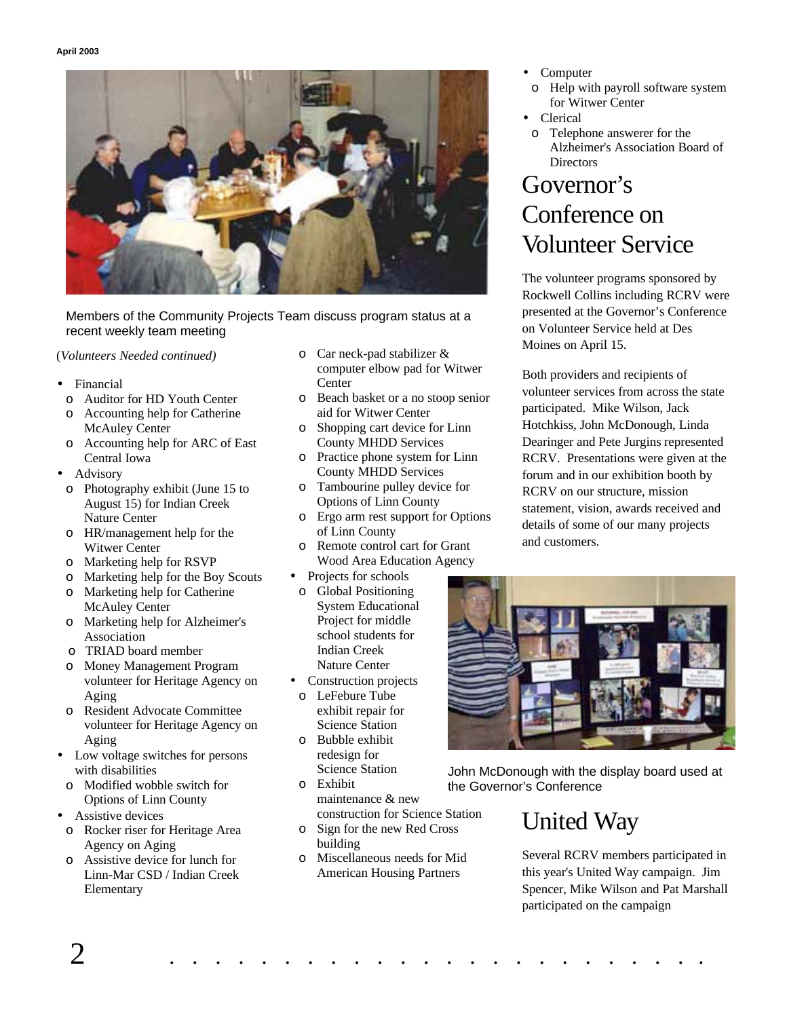

Members of the Community Projects Team discuss program status at a recent weekly team meeting

(*Volunteers Needed continued)*

- **Financial** 
	- o Auditor for HD Youth Center
	- o Accounting help for Catherine McAuley Center
	- o Accounting help for ARC of East Central Iowa
- **Advisory** 
	- o Photography exhibit (June 15 to August 15) for Indian Creek Nature Center
	- o HR/management help for the Witwer Center
	- o Marketing help for RSVP
	- o Marketing help for the Boy Scouts
	- o Marketing help for Catherine McAuley Center
	- o Marketing help for Alzheimer's Association
	- o TRIAD board member
	- o Money Management Program volunteer for Heritage Agency on Aging
	- o Resident Advocate Committee volunteer for Heritage Agency on Aging
- Low voltage switches for persons with disabilities
- o Modified wobble switch for Options of Linn County
- Assistive devices
	- o Rocker riser for Heritage Area Agency on Aging
	- o Assistive device for lunch for Linn-Mar CSD / Indian Creek Elementary
- o Car neck-pad stabilizer & computer elbow pad for Witwer **Center**
- o Beach basket or a no stoop senior aid for Witwer Center
- o Shopping cart device for Linn County MHDD Services
- o Practice phone system for Linn County MHDD Services
- o Tambourine pulley device for Options of Linn County
- o Ergo arm rest support for Options of Linn County
- o Remote control cart for Grant Wood Area Education Agency
- Projects for schools
- o Global Positioning System Educational Project for middle school students for Indian Creek Nature Center
- Construction projects o LeFebure Tube exhibit repair for Science Station
- o Bubble exhibit redesign for Science Station
- o Exhibit maintenance & new construction for Science Station
- o Sign for the new Red Cross building
- o Miscellaneous needs for Mid American Housing Partners
- **Computer** 
	- o Help with payroll software system for Witwer Center
- Clerical
- o Telephone answerer for the Alzheimer's Association Board of **Directors**

## Governor's Conference on Volunteer Service

The volunteer programs sponsored by Rockwell Collins including RCRV were presented at the Governor's Conference on Volunteer Service held at Des Moines on April 15.

Both providers and recipients of volunteer services from across the state participated. Mike Wilson, Jack Hotchkiss, John McDonough, Linda Dearinger and Pete Jurgins represented RCRV. Presentations were given at the forum and in our exhibition booth by RCRV on our structure, mission statement, vision, awards received and details of some of our many projects and customers.



John McDonough with the display board used at the Governor's Conference

# United Way

Several RCRV members participated in this year's United Way campaign. Jim Spencer, Mike Wilson and Pat Marshall participated on the campaign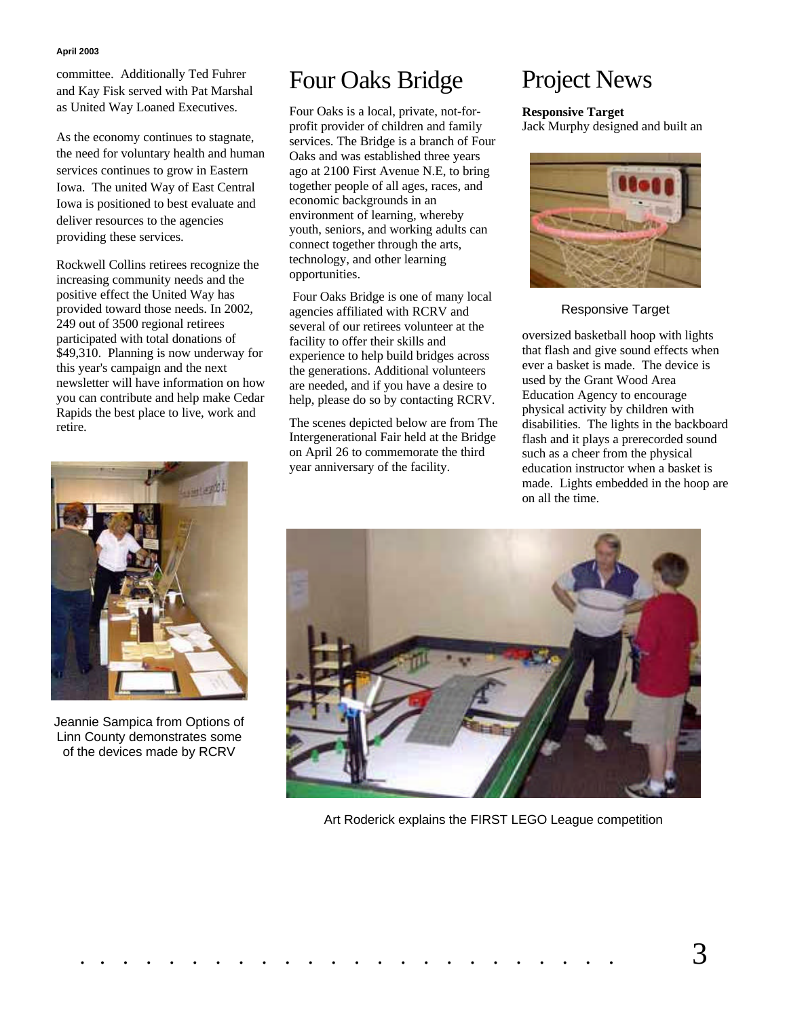#### **April 2003**

committee. Additionally Ted Fuhrer and Kay Fisk served with Pat Marshal as United Way Loaned Executives.

As the economy continues to stagnate, the need for voluntary health and human services continues to grow in Eastern Iowa. The united Way of East Central Iowa is positioned to best evaluate and deliver resources to the agencies providing these services.

Rockwell Collins retirees recognize the increasing community needs and the positive effect the United Way has provided toward those needs. In 2002, 249 out of 3500 regional retirees participated with total donations of \$49,310. Planning is now underway for this year's campaign and the next newsletter will have information on how you can contribute and help make Cedar Rapids the best place to live, work and retire.



Jeannie Sampica from Options of Linn County demonstrates some of the devices made by RCRV

## Four Oaks Bridge

Four Oaks is a local, private, not-forprofit provider of children and family services. The Bridge is a branch of Four Oaks and was established three years ago at 2100 First Avenue N.E, to bring together people of all ages, races, and economic backgrounds in an environment of learning, whereby youth, seniors, and working adults can connect together through the arts, technology, and other learning opportunities.

 Four Oaks Bridge is one of many local agencies affiliated with RCRV and several of our retirees volunteer at the facility to offer their skills and experience to help build bridges across the generations. Additional volunteers are needed, and if you have a desire to help, please do so by contacting RCRV.

The scenes depicted below are from The Intergenerational Fair held at the Bridge on April 26 to commemorate the third year anniversary of the facility.

## Project News

**Responsive Target**

Jack Murphy designed and built an



Responsive Target

oversized basketball hoop with lights that flash and give sound effects when ever a basket is made. The device is used by the Grant Wood Area Education Agency to encourage physical activity by children with disabilities. The lights in the backboard flash and it plays a prerecorded sound such as a cheer from the physical education instructor when a basket is made. Lights embedded in the hoop are on all the time.



Art Roderick explains the FIRST LEGO League competition